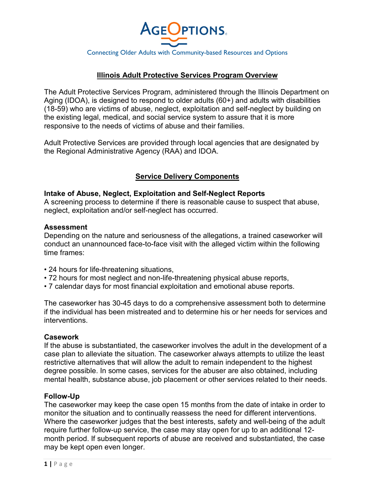

## **Illinois Adult Protective Services Program Overview**

The Adult Protective Services Program, administered through the Illinois Department on Aging (IDOA), is designed to respond to older adults (60+) and adults with disabilities (18-59) who are victims of abuse, neglect, exploitation and self-neglect by building on the existing legal, medical, and social service system to assure that it is more responsive to the needs of victims of abuse and their families.

Adult Protective Services are provided through local agencies that are designated by the Regional Administrative Agency (RAA) and IDOA.

### **Service Delivery Components**

#### **Intake of Abuse, Neglect, Exploitation and Self-Neglect Reports**

A screening process to determine if there is reasonable cause to suspect that abuse, neglect, exploitation and/or self-neglect has occurred.

#### **Assessment**

Depending on the nature and seriousness of the allegations, a trained caseworker will conduct an unannounced face-to-face visit with the alleged victim within the following time frames:

- 24 hours for life-threatening situations,
- 72 hours for most neglect and non-life-threatening physical abuse reports,
- 7 calendar days for most financial exploitation and emotional abuse reports.

The caseworker has 30-45 days to do a comprehensive assessment both to determine if the individual has been mistreated and to determine his or her needs for services and interventions.

#### **Casework**

If the abuse is substantiated, the caseworker involves the adult in the development of a case plan to alleviate the situation. The caseworker always attempts to utilize the least restrictive alternatives that will allow the adult to remain independent to the highest degree possible. In some cases, services for the abuser are also obtained, including mental health, substance abuse, job placement or other services related to their needs.

#### **Follow-Up**

The caseworker may keep the case open 15 months from the date of intake in order to monitor the situation and to continually reassess the need for different interventions. Where the caseworker judges that the best interests, safety and well-being of the adult require further follow-up service, the case may stay open for up to an additional 12 month period. If subsequent reports of abuse are received and substantiated, the case may be kept open even longer.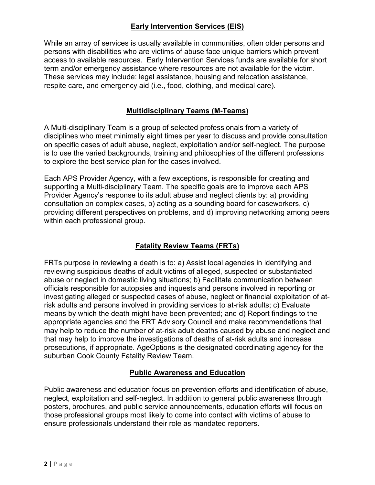# **Early Intervention Services (EIS)**

While an array of services is usually available in communities, often older persons and persons with disabilities who are victims of abuse face unique barriers which prevent access to available resources. Early Intervention Services funds are available for short term and/or emergency assistance where resources are not available for the victim. These services may include: legal assistance, housing and relocation assistance, respite care, and emergency aid (i.e., food, clothing, and medical care).

## **Multidisciplinary Teams (M-Teams)**

A Multi-disciplinary Team is a group of selected professionals from a variety of disciplines who meet minimally eight times per year to discuss and provide consultation on specific cases of adult abuse, neglect, exploitation and/or self-neglect. The purpose is to use the varied backgrounds, training and philosophies of the different professions to explore the best service plan for the cases involved.

Each APS Provider Agency, with a few exceptions, is responsible for creating and supporting a Multi-disciplinary Team. The specific goals are to improve each APS Provider Agency's response to its adult abuse and neglect clients by: a) providing consultation on complex cases, b) acting as a sounding board for caseworkers, c) providing different perspectives on problems, and d) improving networking among peers within each professional group.

# **Fatality Review Teams (FRTs)**

FRTs purpose in reviewing a death is to: a) Assist local agencies in identifying and reviewing suspicious deaths of adult victims of alleged, suspected or substantiated abuse or neglect in domestic living situations; b) Facilitate communication between officials responsible for autopsies and inquests and persons involved in reporting or investigating alleged or suspected cases of abuse, neglect or financial exploitation of atrisk adults and persons involved in providing services to at-risk adults; c) Evaluate means by which the death might have been prevented; and d) Report findings to the appropriate agencies and the FRT Advisory Council and make recommendations that may help to reduce the number of at-risk adult deaths caused by abuse and neglect and that may help to improve the investigations of deaths of at-risk adults and increase prosecutions, if appropriate. AgeOptions is the designated coordinating agency for the suburban Cook County Fatality Review Team.

## **Public Awareness and Education**

Public awareness and education focus on prevention efforts and identification of abuse, neglect, exploitation and self-neglect. In addition to general public awareness through posters, brochures, and public service announcements, education efforts will focus on those professional groups most likely to come into contact with victims of abuse to ensure professionals understand their role as mandated reporters.